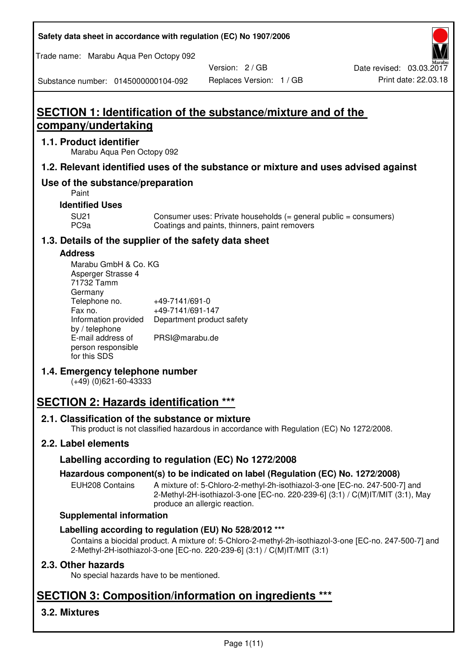| Safety data sheet in accordance with regulation (EC) No 1907/2006 |  |
|-------------------------------------------------------------------|--|
|-------------------------------------------------------------------|--|

Trade name: Marabu Aqua Pen Octopy 092

Version: 2 / GB

Substance number: 0145000000104-092

# **SECTION 1: Identification of the substance/mixture and of the company/undertaking**

## **1.1. Product identifier**

Marabu Aqua Pen Octopy 092

## **1.2. Relevant identified uses of the substance or mixture and uses advised against**

## **Use of the substance/preparation**

Paint

## **Identified Uses**

SU21 Consumer uses: Private households (= general public = consumers)<br>PC9a Coatings and paints, thinners, paint removers Coatings and paints, thinners, paint removers

## **1.3. Details of the supplier of the safety data sheet**

#### **Address**

| Marabu GmbH & Co. KG |                           |
|----------------------|---------------------------|
| Asperger Strasse 4   |                           |
| 71732 Tamm           |                           |
| Germany              |                           |
| Telephone no.        | +49-7141/691-0            |
| Fax no.              | +49-7141/691-147          |
| Information provided | Department product safety |
| by / telephone       |                           |
| E-mail address of    | PRSI@marabu.de            |
| person responsible   |                           |
| for this SDS         |                           |

## **1.4. Emergency telephone number**

(+49) (0)621-60-43333

# **SECTION 2: Hazards identification \*\*\***

## **2.1. Classification of the substance or mixture**

This product is not classified hazardous in accordance with Regulation (EC) No 1272/2008.

## **2.2. Label elements**

## **Labelling according to regulation (EC) No 1272/2008**

## **Hazardous component(s) to be indicated on label (Regulation (EC) No. 1272/2008)**

EUH208 Contains A mixture of: 5-Chloro-2-methyl-2h-isothiazol-3-one [EC-no. 247-500-7] and 2-Methyl-2H-isothiazol-3-one [EC-no. 220-239-6] (3:1) / C(M)IT/MIT (3:1), May produce an allergic reaction.

#### **Supplemental information**

## **Labelling according to regulation (EU) No 528/2012 \*\*\***

Contains a biocidal product. A mixture of: 5-Chloro-2-methyl-2h-isothiazol-3-one [EC-no. 247-500-7] and 2-Methyl-2H-isothiazol-3-one [EC-no. 220-239-6] (3:1) / C(M)IT/MIT (3:1)

## **2.3. Other hazards**

No special hazards have to be mentioned.

# **SECTION 3: Composition/information on ingredients \*\*\***

## **3.2. Mixtures**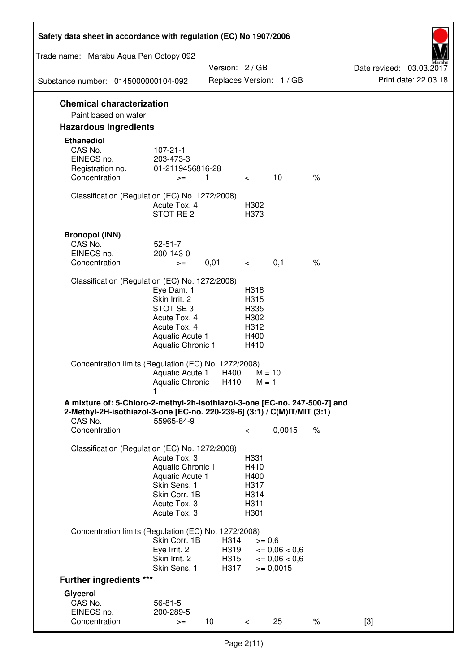| Safety data sheet in accordance with regulation (EC) No 1907/2006                                                                                                 |                                                                                                                       |                              |                                                      |                                                                  |      |                                                  |
|-------------------------------------------------------------------------------------------------------------------------------------------------------------------|-----------------------------------------------------------------------------------------------------------------------|------------------------------|------------------------------------------------------|------------------------------------------------------------------|------|--------------------------------------------------|
| Trade name: Marabu Aqua Pen Octopy 092                                                                                                                            |                                                                                                                       |                              |                                                      |                                                                  |      |                                                  |
| Substance number: 0145000000104-092                                                                                                                               |                                                                                                                       | Version: 2 / GB              |                                                      | Replaces Version: 1 / GB                                         |      | Date revised: 03.03.2017<br>Print date: 22.03.18 |
|                                                                                                                                                                   |                                                                                                                       |                              |                                                      |                                                                  |      |                                                  |
| <b>Chemical characterization</b><br>Paint based on water                                                                                                          |                                                                                                                       |                              |                                                      |                                                                  |      |                                                  |
| <b>Hazardous ingredients</b>                                                                                                                                      |                                                                                                                       |                              |                                                      |                                                                  |      |                                                  |
| <b>Ethanediol</b><br>CAS No.<br>EINECS no.<br>Registration no.<br>Concentration                                                                                   | $107 - 21 - 1$<br>203-473-3<br>01-2119456816-28<br>$>=$                                                               | 1                            | $\lt$ $\sim$                                         | 10                                                               | $\%$ |                                                  |
| Classification (Regulation (EC) No. 1272/2008)                                                                                                                    | Acute Tox. 4<br>STOT RE 2                                                                                             |                              | H302<br>H373                                         |                                                                  |      |                                                  |
| <b>Bronopol (INN)</b><br>CAS No.<br>EINECS no.<br>Concentration                                                                                                   | $52 - 51 - 7$<br>200-143-0<br>$>=$                                                                                    | 0,01                         | $\lt$ $\sim$                                         | 0,1                                                              | $\%$ |                                                  |
| Classification (Regulation (EC) No. 1272/2008)                                                                                                                    |                                                                                                                       |                              |                                                      |                                                                  |      |                                                  |
|                                                                                                                                                                   | Eye Dam. 1<br>Skin Irrit. 2<br>STOT SE3<br>Acute Tox. 4<br>Acute Tox. 4<br>Aquatic Acute 1<br>Aquatic Chronic 1       |                              | H318<br>H315<br>H335<br>H302<br>H312<br>H400<br>H410 |                                                                  |      |                                                  |
| Concentration limits (Regulation (EC) No. 1272/2008)                                                                                                              | Aquatic Acute 1<br>Aquatic Chronic $H410$ M = 1                                                                       | H400                         | $M = 10$                                             |                                                                  |      |                                                  |
| A mixture of: 5-Chloro-2-methyl-2h-isothiazol-3-one [EC-no. 247-500-7] and<br>2-Methyl-2H-isothiazol-3-one [EC-no. 220-239-6] (3:1) / C(M)IT/MIT (3:1)<br>CAS No. | 55965-84-9                                                                                                            |                              |                                                      |                                                                  |      |                                                  |
| Concentration                                                                                                                                                     |                                                                                                                       |                              | $\,<\,$                                              | 0,0015                                                           | $\%$ |                                                  |
| Classification (Regulation (EC) No. 1272/2008)                                                                                                                    | Acute Tox. 3<br>Aquatic Chronic 1<br>Aquatic Acute 1<br>Skin Sens. 1<br>Skin Corr. 1B<br>Acute Tox. 3<br>Acute Tox. 3 |                              | H331<br>H410<br>H400<br>H317<br>H314<br>H311<br>H301 |                                                                  |      |                                                  |
| Concentration limits (Regulation (EC) No. 1272/2008)                                                                                                              |                                                                                                                       |                              |                                                      |                                                                  |      |                                                  |
|                                                                                                                                                                   | Skin Corr. 1B<br>Eye Irrit. 2<br>Skin Irrit. 2<br>Skin Sens. 1                                                        | H314<br>H319<br>H315<br>H317 | $>= 0,6$                                             | $\epsilon = 0.06 < 0.6$<br>$\epsilon = 0.06 < 0.6$<br>$= 0,0015$ |      |                                                  |
| <b>Further ingredients ***</b>                                                                                                                                    |                                                                                                                       |                              |                                                      |                                                                  |      |                                                  |
| Glycerol<br>CAS No.<br>EINECS no.<br>Concentration                                                                                                                | $56 - 81 - 5$<br>200-289-5<br>$>=$                                                                                    | 10 <sup>°</sup>              | $\,<\,$                                              | 25                                                               | $\%$ | $[3]$                                            |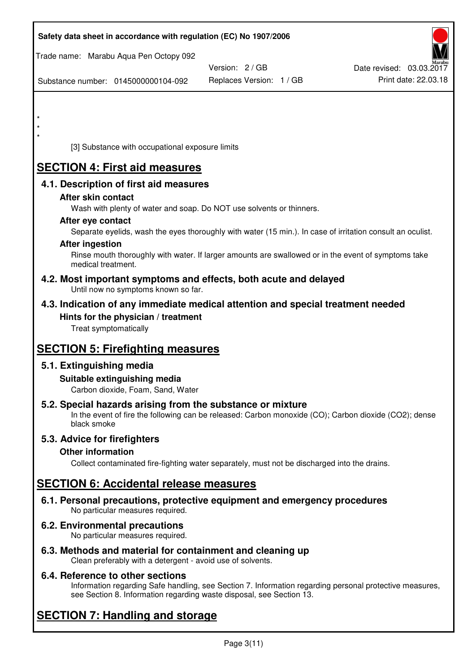| Safety data sheet in accordance with regulation (EC) No 1907/2006                                                                                                                                                                                                                                                                                                                                                                                                                                                                                                                                                                                  |                          |                          |
|----------------------------------------------------------------------------------------------------------------------------------------------------------------------------------------------------------------------------------------------------------------------------------------------------------------------------------------------------------------------------------------------------------------------------------------------------------------------------------------------------------------------------------------------------------------------------------------------------------------------------------------------------|--------------------------|--------------------------|
| Trade name: Marabu Aqua Pen Octopy 092                                                                                                                                                                                                                                                                                                                                                                                                                                                                                                                                                                                                             | Version: 2/GB            | Date revised: 03.03.2017 |
| Substance number: 0145000000104-092                                                                                                                                                                                                                                                                                                                                                                                                                                                                                                                                                                                                                | Replaces Version: 1 / GB | Print date: 22.03.18     |
|                                                                                                                                                                                                                                                                                                                                                                                                                                                                                                                                                                                                                                                    |                          |                          |
|                                                                                                                                                                                                                                                                                                                                                                                                                                                                                                                                                                                                                                                    |                          |                          |
| $\star$<br>[3] Substance with occupational exposure limits                                                                                                                                                                                                                                                                                                                                                                                                                                                                                                                                                                                         |                          |                          |
| <b>SECTION 4: First aid measures</b>                                                                                                                                                                                                                                                                                                                                                                                                                                                                                                                                                                                                               |                          |                          |
| 4.1. Description of first aid measures                                                                                                                                                                                                                                                                                                                                                                                                                                                                                                                                                                                                             |                          |                          |
| After skin contact<br>Wash with plenty of water and soap. Do NOT use solvents or thinners.<br>After eye contact<br>Separate eyelids, wash the eyes thoroughly with water (15 min.). In case of irritation consult an oculist.<br><b>After ingestion</b><br>Rinse mouth thoroughly with water. If larger amounts are swallowed or in the event of symptoms take<br>medical treatment.<br>4.2. Most important symptoms and effects, both acute and delayed<br>Until now no symptoms known so far.<br>4.3. Indication of any immediate medical attention and special treatment needed<br>Hints for the physician / treatment<br>Treat symptomatically |                          |                          |
| <b>SECTION 5: Firefighting measures</b>                                                                                                                                                                                                                                                                                                                                                                                                                                                                                                                                                                                                            |                          |                          |
| 5.1. Extinguishing media<br>Suitable extinguishing media<br>Carbon dioxide, Foam, Sand, Water                                                                                                                                                                                                                                                                                                                                                                                                                                                                                                                                                      |                          |                          |
| 5.2. Special hazards arising from the substance or mixture<br>In the event of fire the following can be released: Carbon monoxide (CO); Carbon dioxide (CO2); dense<br>black smoke                                                                                                                                                                                                                                                                                                                                                                                                                                                                 |                          |                          |
| 5.3. Advice for firefighters                                                                                                                                                                                                                                                                                                                                                                                                                                                                                                                                                                                                                       |                          |                          |
| <b>Other information</b><br>Collect contaminated fire-fighting water separately, must not be discharged into the drains.                                                                                                                                                                                                                                                                                                                                                                                                                                                                                                                           |                          |                          |
| <b>SECTION 6: Accidental release measures</b>                                                                                                                                                                                                                                                                                                                                                                                                                                                                                                                                                                                                      |                          |                          |
| 6.1. Personal precautions, protective equipment and emergency procedures<br>No particular measures required.                                                                                                                                                                                                                                                                                                                                                                                                                                                                                                                                       |                          |                          |
| 6.2. Environmental precautions<br>No particular measures required.                                                                                                                                                                                                                                                                                                                                                                                                                                                                                                                                                                                 |                          |                          |
|                                                                                                                                                                                                                                                                                                                                                                                                                                                                                                                                                                                                                                                    |                          |                          |

**6.3. Methods and material for containment and cleaning up**  Clean preferably with a detergent - avoid use of solvents.

## **6.4. Reference to other sections**

Information regarding Safe handling, see Section 7. Information regarding personal protective measures, see Section 8. Information regarding waste disposal, see Section 13.

# **SECTION 7: Handling and storage**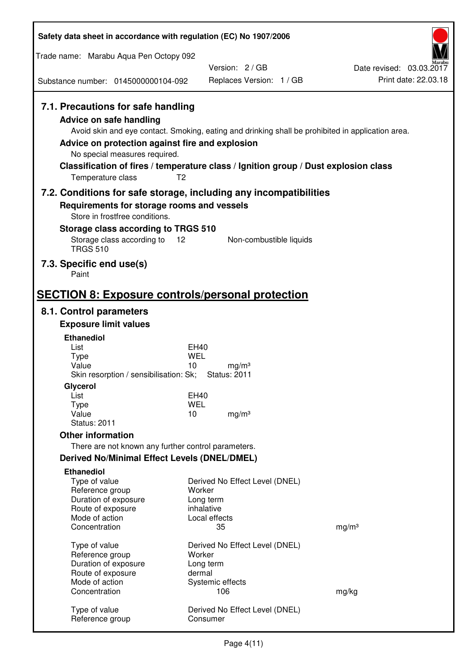| Safety data sheet in accordance with regulation (EC) No 1907/2006                                                                                                                               |                                                                                                                                                                                          |                                                  |
|-------------------------------------------------------------------------------------------------------------------------------------------------------------------------------------------------|------------------------------------------------------------------------------------------------------------------------------------------------------------------------------------------|--------------------------------------------------|
| Trade name: Marabu Aqua Pen Octopy 092                                                                                                                                                          |                                                                                                                                                                                          |                                                  |
| Substance number: 0145000000104-092                                                                                                                                                             | Version: 2/GB<br>Replaces Version: 1 / GB                                                                                                                                                | Date revised: 03.03.2017<br>Print date: 22.03.18 |
|                                                                                                                                                                                                 |                                                                                                                                                                                          |                                                  |
| 7.1. Precautions for safe handling<br><b>Advice on safe handling</b><br>Advice on protection against fire and explosion<br>No special measures required.<br>T <sub>2</sub><br>Temperature class | Avoid skin and eye contact. Smoking, eating and drinking shall be prohibited in application area.<br>Classification of fires / temperature class / Ignition group / Dust explosion class |                                                  |
| 7.2. Conditions for safe storage, including any incompatibilities                                                                                                                               |                                                                                                                                                                                          |                                                  |
| Requirements for storage rooms and vessels                                                                                                                                                      |                                                                                                                                                                                          |                                                  |
| Store in frostfree conditions.                                                                                                                                                                  |                                                                                                                                                                                          |                                                  |
| Storage class according to TRGS 510<br>Storage class according to<br>12                                                                                                                         | Non-combustible liquids                                                                                                                                                                  |                                                  |
| <b>TRGS 510</b>                                                                                                                                                                                 |                                                                                                                                                                                          |                                                  |
| 7.3. Specific end use(s)<br>Paint                                                                                                                                                               |                                                                                                                                                                                          |                                                  |
|                                                                                                                                                                                                 |                                                                                                                                                                                          |                                                  |
| <b>SECTION 8: Exposure controls/personal protection</b>                                                                                                                                         |                                                                                                                                                                                          |                                                  |
| 8.1. Control parameters<br><b>Exposure limit values</b>                                                                                                                                         |                                                                                                                                                                                          |                                                  |
| <b>Ethanediol</b>                                                                                                                                                                               |                                                                                                                                                                                          |                                                  |
| List                                                                                                                                                                                            | EH40                                                                                                                                                                                     |                                                  |
| <b>Type</b>                                                                                                                                                                                     | <b>WEL</b>                                                                                                                                                                               |                                                  |
| Value<br>Skin resorption / sensibilisation: Sk;                                                                                                                                                 | 10<br>mg/m <sup>3</sup><br><b>Status: 2011</b>                                                                                                                                           |                                                  |
| Glycerol                                                                                                                                                                                        |                                                                                                                                                                                          |                                                  |
| List                                                                                                                                                                                            | EH40                                                                                                                                                                                     |                                                  |
| Type<br>Value                                                                                                                                                                                   | <b>WEL</b><br>10<br>mg/m <sup>3</sup>                                                                                                                                                    |                                                  |
| <b>Status: 2011</b>                                                                                                                                                                             |                                                                                                                                                                                          |                                                  |
| <b>Other information</b>                                                                                                                                                                        |                                                                                                                                                                                          |                                                  |
| There are not known any further control parameters.                                                                                                                                             |                                                                                                                                                                                          |                                                  |
| <b>Derived No/Minimal Effect Levels (DNEL/DMEL)</b>                                                                                                                                             |                                                                                                                                                                                          |                                                  |
| <b>Ethanediol</b><br>Type of value<br>Reference group<br>Duration of exposure<br>Route of exposure                                                                                              | Derived No Effect Level (DNEL)<br>Worker<br>Long term<br>inhalative                                                                                                                      |                                                  |
| Mode of action                                                                                                                                                                                  | Local effects                                                                                                                                                                            |                                                  |
| Concentration                                                                                                                                                                                   | 35                                                                                                                                                                                       | mg/m <sup>3</sup>                                |
| Type of value                                                                                                                                                                                   | Derived No Effect Level (DNEL)                                                                                                                                                           |                                                  |
| Reference group                                                                                                                                                                                 | Worker                                                                                                                                                                                   |                                                  |
| Duration of exposure<br>Route of exposure                                                                                                                                                       | Long term<br>dermal                                                                                                                                                                      |                                                  |
| Mode of action                                                                                                                                                                                  | Systemic effects                                                                                                                                                                         |                                                  |
| Concentration                                                                                                                                                                                   | 106                                                                                                                                                                                      | mg/kg                                            |
| Type of value<br>Reference group                                                                                                                                                                | Derived No Effect Level (DNEL)<br>Consumer                                                                                                                                               |                                                  |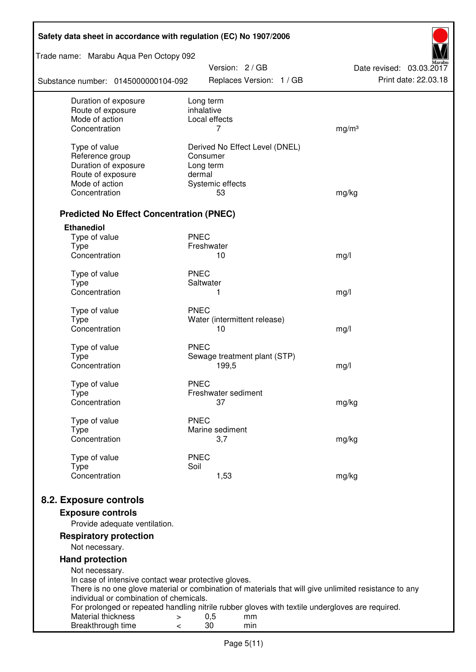| Safety data sheet in accordance with regulation (EC) No 1907/2006 |                                                                                                       |                          |  |  |  |
|-------------------------------------------------------------------|-------------------------------------------------------------------------------------------------------|--------------------------|--|--|--|
| Trade name: Marabu Aqua Pen Octopy 092                            | Version: 2 / GB                                                                                       | Date revised: 03.03.2017 |  |  |  |
| Substance number: 0145000000104-092                               | Replaces Version: 1 / GB                                                                              | Print date: 22.03.18     |  |  |  |
| Duration of exposure                                              | Long term                                                                                             |                          |  |  |  |
| Route of exposure<br>Mode of action                               | inhalative<br>Local effects                                                                           |                          |  |  |  |
| Concentration                                                     | 7                                                                                                     | mg/m <sup>3</sup>        |  |  |  |
|                                                                   |                                                                                                       |                          |  |  |  |
| Type of value                                                     | Derived No Effect Level (DNEL)                                                                        |                          |  |  |  |
| Reference group                                                   | Consumer                                                                                              |                          |  |  |  |
| Duration of exposure                                              | Long term                                                                                             |                          |  |  |  |
| Route of exposure<br>Mode of action                               | dermal<br>Systemic effects                                                                            |                          |  |  |  |
| Concentration                                                     | 53                                                                                                    | mg/kg                    |  |  |  |
|                                                                   |                                                                                                       |                          |  |  |  |
| <b>Predicted No Effect Concentration (PNEC)</b>                   |                                                                                                       |                          |  |  |  |
| <b>Ethanediol</b>                                                 |                                                                                                       |                          |  |  |  |
| Type of value                                                     | <b>PNEC</b>                                                                                           |                          |  |  |  |
| <b>Type</b>                                                       | Freshwater                                                                                            |                          |  |  |  |
| Concentration                                                     | 10                                                                                                    | mg/l                     |  |  |  |
| Type of value                                                     | <b>PNEC</b>                                                                                           |                          |  |  |  |
| <b>Type</b>                                                       | Saltwater                                                                                             |                          |  |  |  |
| Concentration                                                     | 1                                                                                                     | mg/l                     |  |  |  |
| Type of value                                                     | <b>PNEC</b>                                                                                           |                          |  |  |  |
| <b>Type</b>                                                       | Water (intermittent release)                                                                          |                          |  |  |  |
| Concentration                                                     | 10                                                                                                    | mg/l                     |  |  |  |
| Type of value                                                     | <b>PNEC</b>                                                                                           |                          |  |  |  |
| <b>Type</b>                                                       | Sewage treatment plant (STP)                                                                          |                          |  |  |  |
| Concentration                                                     | 199,5                                                                                                 | mg/l                     |  |  |  |
| Type of value                                                     | <b>PNEC</b>                                                                                           |                          |  |  |  |
| Type                                                              | Freshwater sediment                                                                                   |                          |  |  |  |
| Concentration                                                     | 37                                                                                                    | mg/kg                    |  |  |  |
| Type of value                                                     | <b>PNEC</b>                                                                                           |                          |  |  |  |
| <b>Type</b>                                                       | Marine sediment                                                                                       |                          |  |  |  |
| Concentration                                                     | 3,7                                                                                                   | mg/kg                    |  |  |  |
| Type of value                                                     | <b>PNEC</b>                                                                                           |                          |  |  |  |
| <b>Type</b>                                                       | Soil                                                                                                  |                          |  |  |  |
| Concentration                                                     | 1,53                                                                                                  | mg/kg                    |  |  |  |
| 8.2. Exposure controls                                            |                                                                                                       |                          |  |  |  |
|                                                                   |                                                                                                       |                          |  |  |  |
| <b>Exposure controls</b><br>Provide adequate ventilation.         |                                                                                                       |                          |  |  |  |
| <b>Respiratory protection</b>                                     |                                                                                                       |                          |  |  |  |
| Not necessary.                                                    |                                                                                                       |                          |  |  |  |
| <b>Hand protection</b>                                            |                                                                                                       |                          |  |  |  |
| Not necessary.                                                    |                                                                                                       |                          |  |  |  |
| In case of intensive contact wear protective gloves.              |                                                                                                       |                          |  |  |  |
|                                                                   | There is no one glove material or combination of materials that will give unlimited resistance to any |                          |  |  |  |
| individual or combination of chemicals.                           | For prolonged or repeated handling nitrile rubber gloves with textile undergloves are required.       |                          |  |  |  |
| Material thickness<br>>                                           | 0,5<br>mm                                                                                             |                          |  |  |  |
| Breakthrough time<br><                                            | 30<br>min                                                                                             |                          |  |  |  |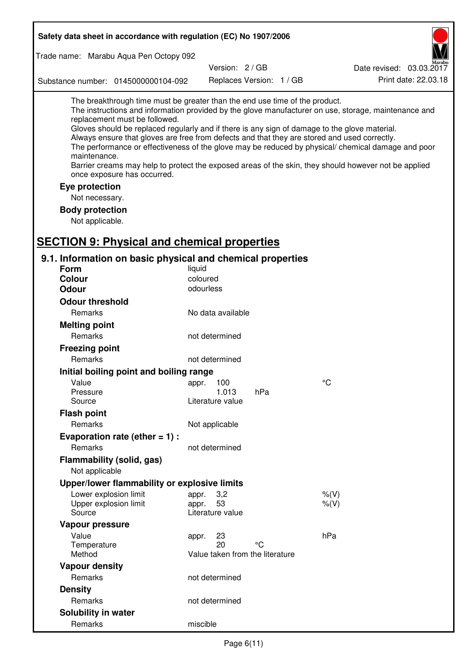| Safety data sheet in accordance with regulation (EC) No 1907/2006                                                                                                                                                                                                                                                                                            |                           |                                       |                                                                                                                                                                                                                                                                                                                    |
|--------------------------------------------------------------------------------------------------------------------------------------------------------------------------------------------------------------------------------------------------------------------------------------------------------------------------------------------------------------|---------------------------|---------------------------------------|--------------------------------------------------------------------------------------------------------------------------------------------------------------------------------------------------------------------------------------------------------------------------------------------------------------------|
| Trade name: Marabu Aqua Pen Octopy 092                                                                                                                                                                                                                                                                                                                       |                           |                                       |                                                                                                                                                                                                                                                                                                                    |
|                                                                                                                                                                                                                                                                                                                                                              | Version: 2/GB             |                                       | Date revised: 03.03.2017                                                                                                                                                                                                                                                                                           |
| Substance number: 0145000000104-092                                                                                                                                                                                                                                                                                                                          |                           | Replaces Version: 1 / GB              | Print date: 22.03.18                                                                                                                                                                                                                                                                                               |
| The breakthrough time must be greater than the end use time of the product.<br>replacement must be followed.<br>Gloves should be replaced regularly and if there is any sign of damage to the glove material.<br>Always ensure that gloves are free from defects and that they are stored and used correctly.<br>maintenance.<br>once exposure has occurred. |                           |                                       | The instructions and information provided by the glove manufacturer on use, storage, maintenance and<br>The performance or effectiveness of the glove may be reduced by physical/ chemical damage and poor<br>Barrier creams may help to protect the exposed areas of the skin, they should however not be applied |
| Eye protection                                                                                                                                                                                                                                                                                                                                               |                           |                                       |                                                                                                                                                                                                                                                                                                                    |
| Not necessary.                                                                                                                                                                                                                                                                                                                                               |                           |                                       |                                                                                                                                                                                                                                                                                                                    |
| <b>Body protection</b>                                                                                                                                                                                                                                                                                                                                       |                           |                                       |                                                                                                                                                                                                                                                                                                                    |
| Not applicable.                                                                                                                                                                                                                                                                                                                                              |                           |                                       |                                                                                                                                                                                                                                                                                                                    |
|                                                                                                                                                                                                                                                                                                                                                              |                           |                                       |                                                                                                                                                                                                                                                                                                                    |
| <b>SECTION 9: Physical and chemical properties</b>                                                                                                                                                                                                                                                                                                           |                           |                                       |                                                                                                                                                                                                                                                                                                                    |
| 9.1. Information on basic physical and chemical properties                                                                                                                                                                                                                                                                                                   |                           |                                       |                                                                                                                                                                                                                                                                                                                    |
| Form                                                                                                                                                                                                                                                                                                                                                         | liquid                    |                                       |                                                                                                                                                                                                                                                                                                                    |
| <b>Colour</b>                                                                                                                                                                                                                                                                                                                                                | coloured<br>odourless     |                                       |                                                                                                                                                                                                                                                                                                                    |
| <b>Odour</b>                                                                                                                                                                                                                                                                                                                                                 |                           |                                       |                                                                                                                                                                                                                                                                                                                    |
| <b>Odour threshold</b>                                                                                                                                                                                                                                                                                                                                       |                           |                                       |                                                                                                                                                                                                                                                                                                                    |
| Remarks                                                                                                                                                                                                                                                                                                                                                      | No data available         |                                       |                                                                                                                                                                                                                                                                                                                    |
| <b>Melting point</b>                                                                                                                                                                                                                                                                                                                                         |                           |                                       |                                                                                                                                                                                                                                                                                                                    |
| Remarks                                                                                                                                                                                                                                                                                                                                                      | not determined            |                                       |                                                                                                                                                                                                                                                                                                                    |
| <b>Freezing point</b>                                                                                                                                                                                                                                                                                                                                        |                           |                                       |                                                                                                                                                                                                                                                                                                                    |
| Remarks                                                                                                                                                                                                                                                                                                                                                      | not determined            |                                       |                                                                                                                                                                                                                                                                                                                    |
| Initial boiling point and boiling range                                                                                                                                                                                                                                                                                                                      |                           |                                       |                                                                                                                                                                                                                                                                                                                    |
| Value                                                                                                                                                                                                                                                                                                                                                        | appr. 100                 |                                       | $\rm ^{\circ}C$                                                                                                                                                                                                                                                                                                    |
| Pressure<br>Source                                                                                                                                                                                                                                                                                                                                           | 1.013<br>Literature value | hPa                                   |                                                                                                                                                                                                                                                                                                                    |
| <b>Flash point</b>                                                                                                                                                                                                                                                                                                                                           |                           |                                       |                                                                                                                                                                                                                                                                                                                    |
| Remarks                                                                                                                                                                                                                                                                                                                                                      | Not applicable            |                                       |                                                                                                                                                                                                                                                                                                                    |
| Evaporation rate (ether $= 1$ ) :                                                                                                                                                                                                                                                                                                                            |                           |                                       |                                                                                                                                                                                                                                                                                                                    |
| Remarks                                                                                                                                                                                                                                                                                                                                                      | not determined            |                                       |                                                                                                                                                                                                                                                                                                                    |
| Flammability (solid, gas)                                                                                                                                                                                                                                                                                                                                    |                           |                                       |                                                                                                                                                                                                                                                                                                                    |
| Not applicable                                                                                                                                                                                                                                                                                                                                               |                           |                                       |                                                                                                                                                                                                                                                                                                                    |
| Upper/lower flammability or explosive limits                                                                                                                                                                                                                                                                                                                 |                           |                                       |                                                                                                                                                                                                                                                                                                                    |
| Lower explosion limit                                                                                                                                                                                                                                                                                                                                        | 3,2<br>appr.              |                                       | $%$ (V)                                                                                                                                                                                                                                                                                                            |
| Upper explosion limit                                                                                                                                                                                                                                                                                                                                        | 53<br>appr.               |                                       | $%$ $(V)$                                                                                                                                                                                                                                                                                                          |
| Source                                                                                                                                                                                                                                                                                                                                                       | Literature value          |                                       |                                                                                                                                                                                                                                                                                                                    |
| Vapour pressure                                                                                                                                                                                                                                                                                                                                              |                           |                                       |                                                                                                                                                                                                                                                                                                                    |
| Value                                                                                                                                                                                                                                                                                                                                                        | 23<br>appr.               |                                       | hPa                                                                                                                                                                                                                                                                                                                |
| Temperature<br>Method                                                                                                                                                                                                                                                                                                                                        | 20                        | °C<br>Value taken from the literature |                                                                                                                                                                                                                                                                                                                    |
| <b>Vapour density</b>                                                                                                                                                                                                                                                                                                                                        |                           |                                       |                                                                                                                                                                                                                                                                                                                    |
| Remarks                                                                                                                                                                                                                                                                                                                                                      | not determined            |                                       |                                                                                                                                                                                                                                                                                                                    |
| <b>Density</b>                                                                                                                                                                                                                                                                                                                                               |                           |                                       |                                                                                                                                                                                                                                                                                                                    |
| Remarks                                                                                                                                                                                                                                                                                                                                                      | not determined            |                                       |                                                                                                                                                                                                                                                                                                                    |
| Solubility in water                                                                                                                                                                                                                                                                                                                                          |                           |                                       |                                                                                                                                                                                                                                                                                                                    |
| Remarks                                                                                                                                                                                                                                                                                                                                                      | miscible                  |                                       |                                                                                                                                                                                                                                                                                                                    |
|                                                                                                                                                                                                                                                                                                                                                              |                           |                                       |                                                                                                                                                                                                                                                                                                                    |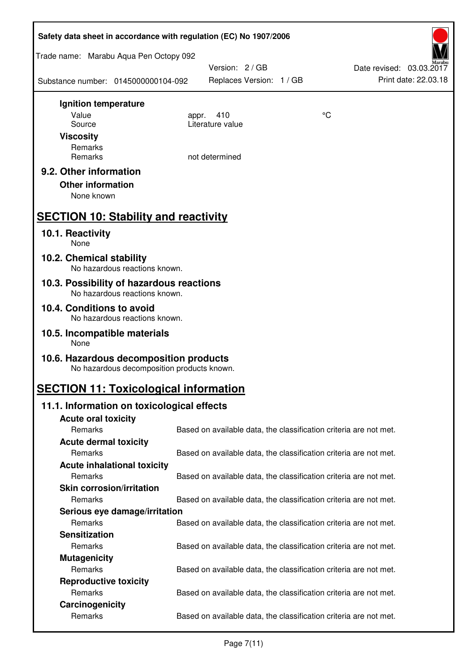| Safety data sheet in accordance with regulation (EC) No 1907/2006                    |       |                                             |  |                                                                   |  |
|--------------------------------------------------------------------------------------|-------|---------------------------------------------|--|-------------------------------------------------------------------|--|
| Trade name: Marabu Aqua Pen Octopy 092                                               |       |                                             |  |                                                                   |  |
| Substance number: 0145000000104-092                                                  |       | Version: 2 / GB<br>Replaces Version: 1 / GB |  | Date revised: 03.03.2017<br>Print date: 22.03.18                  |  |
| Ignition temperature                                                                 |       |                                             |  |                                                                   |  |
| Value                                                                                | appr. | 410<br>Literature value                     |  | °C                                                                |  |
| Source<br><b>Viscosity</b>                                                           |       |                                             |  |                                                                   |  |
| Remarks                                                                              |       |                                             |  |                                                                   |  |
| Remarks                                                                              |       | not determined                              |  |                                                                   |  |
| 9.2. Other information<br><b>Other information</b><br>None known                     |       |                                             |  |                                                                   |  |
| <b>SECTION 10: Stability and reactivity</b>                                          |       |                                             |  |                                                                   |  |
| 10.1. Reactivity<br>None                                                             |       |                                             |  |                                                                   |  |
| 10.2. Chemical stability<br>No hazardous reactions known.                            |       |                                             |  |                                                                   |  |
| 10.3. Possibility of hazardous reactions<br>No hazardous reactions known.            |       |                                             |  |                                                                   |  |
| 10.4. Conditions to avoid<br>No hazardous reactions known.                           |       |                                             |  |                                                                   |  |
| 10.5. Incompatible materials<br>None                                                 |       |                                             |  |                                                                   |  |
| 10.6. Hazardous decomposition products<br>No hazardous decomposition products known. |       |                                             |  |                                                                   |  |
| <b>SECTION 11: Toxicological information</b>                                         |       |                                             |  |                                                                   |  |
| 11.1. Information on toxicological effects                                           |       |                                             |  |                                                                   |  |
| <b>Acute oral toxicity</b>                                                           |       |                                             |  |                                                                   |  |
| Remarks                                                                              |       |                                             |  | Based on available data, the classification criteria are not met. |  |
| <b>Acute dermal toxicity</b><br>Remarks                                              |       |                                             |  |                                                                   |  |
| <b>Acute inhalational toxicity</b>                                                   |       |                                             |  | Based on available data, the classification criteria are not met. |  |
| Remarks                                                                              |       |                                             |  | Based on available data, the classification criteria are not met. |  |
| <b>Skin corrosion/irritation</b>                                                     |       |                                             |  |                                                                   |  |
| Remarks                                                                              |       |                                             |  | Based on available data, the classification criteria are not met. |  |
| Serious eye damage/irritation                                                        |       |                                             |  |                                                                   |  |
| Remarks                                                                              |       |                                             |  | Based on available data, the classification criteria are not met. |  |
| <b>Sensitization</b>                                                                 |       |                                             |  |                                                                   |  |
| Remarks                                                                              |       |                                             |  | Based on available data, the classification criteria are not met. |  |
| <b>Mutagenicity</b><br>Remarks                                                       |       |                                             |  | Based on available data, the classification criteria are not met. |  |
| <b>Reproductive toxicity</b>                                                         |       |                                             |  |                                                                   |  |
| Remarks                                                                              |       |                                             |  | Based on available data, the classification criteria are not met. |  |
| Carcinogenicity                                                                      |       |                                             |  |                                                                   |  |
| Remarks                                                                              |       |                                             |  | Based on available data, the classification criteria are not met. |  |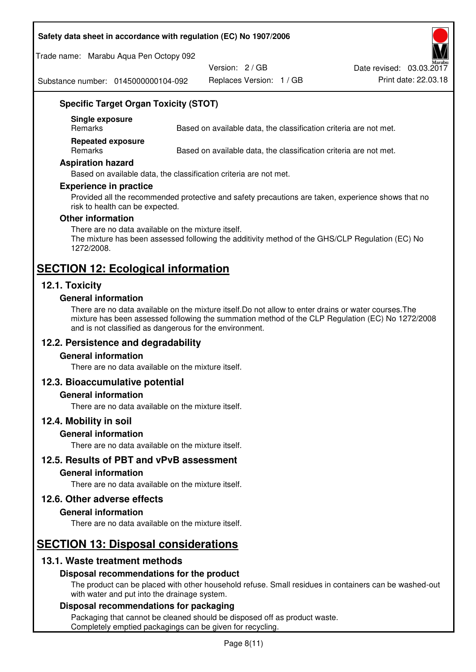#### **Safety data sheet in accordance with regulation (EC) No 1907/2006**

Trade name: Marabu Aqua Pen Octopy 092

Version: 2 / GB

Replaces Version: 1 / GB Print date: 22.03.18 Date revised: 03.03.2017

Substance number: 0145000000104-092

## **Specific Target Organ Toxicity (STOT)**

**Single exposure** 

Based on available data, the classification criteria are not met.

**Repeated exposure** 

Remarks Based on available data, the classification criteria are not met.

#### **Aspiration hazard**

Based on available data, the classification criteria are not met.

#### **Experience in practice**

Provided all the recommended protective and safety precautions are taken, experience shows that no risk to health can be expected.

#### **Other information**

There are no data available on the mixture itself. The mixture has been assessed following the additivity method of the GHS/CLP Regulation (EC) No 1272/2008.

## **SECTION 12: Ecological information**

## **12.1. Toxicity**

#### **General information**

There are no data available on the mixture itself.Do not allow to enter drains or water courses.The mixture has been assessed following the summation method of the CLP Regulation (EC) No 1272/2008 and is not classified as dangerous for the environment.

## **12.2. Persistence and degradability**

#### **General information**

There are no data available on the mixture itself.

#### **12.3. Bioaccumulative potential**

#### **General information**

There are no data available on the mixture itself.

#### **12.4. Mobility in soil**

#### **General information**

There are no data available on the mixture itself.

**12.5. Results of PBT and vPvB assessment** 

#### **General information**

There are no data available on the mixture itself.

#### **12.6. Other adverse effects**

#### **General information**

There are no data available on the mixture itself.

# **SECTION 13: Disposal considerations**

## **13.1. Waste treatment methods**

#### **Disposal recommendations for the product**

The product can be placed with other household refuse. Small residues in containers can be washed-out with water and put into the drainage system.

#### **Disposal recommendations for packaging**

Packaging that cannot be cleaned should be disposed off as product waste. Completely emptied packagings can be given for recycling.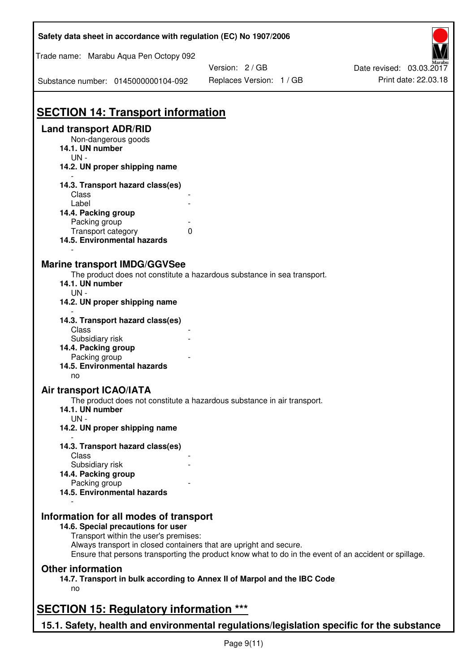| Safety data sheet in accordance with regulation (EC) No 1907/2006                         |                                                                                                                                                                             |                                                  |
|-------------------------------------------------------------------------------------------|-----------------------------------------------------------------------------------------------------------------------------------------------------------------------------|--------------------------------------------------|
| Trade name: Marabu Aqua Pen Octopy 092                                                    |                                                                                                                                                                             |                                                  |
| Substance number: 0145000000104-092                                                       | Version: 2 / GB<br>Replaces Version: 1 / GB                                                                                                                                 | Date revised: 03.03.2017<br>Print date: 22.03.18 |
| <b>SECTION 14: Transport information</b>                                                  |                                                                                                                                                                             |                                                  |
| <b>Land transport ADR/RID</b>                                                             |                                                                                                                                                                             |                                                  |
| Non-dangerous goods<br>14.1. UN number<br>$UN -$                                          |                                                                                                                                                                             |                                                  |
| 14.2. UN proper shipping name                                                             |                                                                                                                                                                             |                                                  |
| 14.3. Transport hazard class(es)<br>Class                                                 |                                                                                                                                                                             |                                                  |
| Label<br>14.4. Packing group                                                              |                                                                                                                                                                             |                                                  |
| Packing group                                                                             |                                                                                                                                                                             |                                                  |
| Transport category<br>14.5. Environmental hazards                                         | 0                                                                                                                                                                           |                                                  |
| <b>Marine transport IMDG/GGVSee</b>                                                       | The product does not constitute a hazardous substance in sea transport.                                                                                                     |                                                  |
| 14.1. UN number<br>$UN -$                                                                 |                                                                                                                                                                             |                                                  |
| 14.2. UN proper shipping name                                                             |                                                                                                                                                                             |                                                  |
| 14.3. Transport hazard class(es)<br>Class                                                 |                                                                                                                                                                             |                                                  |
| Subsidiary risk<br>14.4. Packing group                                                    |                                                                                                                                                                             |                                                  |
| Packing group                                                                             |                                                                                                                                                                             |                                                  |
| 14.5. Environmental hazards<br>no                                                         |                                                                                                                                                                             |                                                  |
| <b>Air transport ICAO/IATA</b>                                                            |                                                                                                                                                                             |                                                  |
| 14.1. UN number<br>$UN -$                                                                 | The product does not constitute a hazardous substance in air transport.                                                                                                     |                                                  |
| 14.2. UN proper shipping name                                                             |                                                                                                                                                                             |                                                  |
| 14.3. Transport hazard class(es)                                                          |                                                                                                                                                                             |                                                  |
| Class<br>Subsidiary risk                                                                  |                                                                                                                                                                             |                                                  |
| 14.4. Packing group                                                                       |                                                                                                                                                                             |                                                  |
| Packing group<br>14.5. Environmental hazards                                              |                                                                                                                                                                             |                                                  |
| Information for all modes of transport                                                    |                                                                                                                                                                             |                                                  |
| 14.6. Special precautions for user<br>Transport within the user's premises:               |                                                                                                                                                                             |                                                  |
|                                                                                           | Always transport in closed containers that are upright and secure.<br>Ensure that persons transporting the product know what to do in the event of an accident or spillage. |                                                  |
| <b>Other information</b>                                                                  |                                                                                                                                                                             |                                                  |
| no                                                                                        | 14.7. Transport in bulk according to Annex II of Marpol and the IBC Code                                                                                                    |                                                  |
| <b>SECTION 15: Regulatory information ***</b>                                             |                                                                                                                                                                             |                                                  |
| 15.1. Safety, health and environmental regulations/legislation specific for the substance |                                                                                                                                                                             |                                                  |

Ī

٦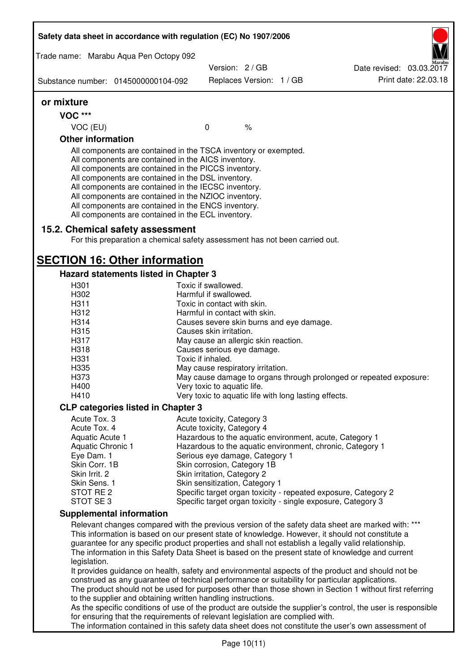|                             | Safety data sheet in accordance with regulation (EC) No 1907/2006                                                                                                                                                                                                                                                                                                                                                                                                 |                                                              |                          |                                                                                                                                                                                                                                                                                                                                                                                                                                                                                                                       |
|-----------------------------|-------------------------------------------------------------------------------------------------------------------------------------------------------------------------------------------------------------------------------------------------------------------------------------------------------------------------------------------------------------------------------------------------------------------------------------------------------------------|--------------------------------------------------------------|--------------------------|-----------------------------------------------------------------------------------------------------------------------------------------------------------------------------------------------------------------------------------------------------------------------------------------------------------------------------------------------------------------------------------------------------------------------------------------------------------------------------------------------------------------------|
|                             | Trade name: Marabu Aqua Pen Octopy 092                                                                                                                                                                                                                                                                                                                                                                                                                            |                                                              |                          |                                                                                                                                                                                                                                                                                                                                                                                                                                                                                                                       |
|                             | Substance number: 0145000000104-092                                                                                                                                                                                                                                                                                                                                                                                                                               | Version: 2 / GB                                              | Replaces Version: 1 / GB | Date revised: 03.03.2017<br>Print date: 22.03.18                                                                                                                                                                                                                                                                                                                                                                                                                                                                      |
| or mixture                  |                                                                                                                                                                                                                                                                                                                                                                                                                                                                   |                                                              |                          |                                                                                                                                                                                                                                                                                                                                                                                                                                                                                                                       |
| <b>VOC ***</b>              |                                                                                                                                                                                                                                                                                                                                                                                                                                                                   |                                                              |                          |                                                                                                                                                                                                                                                                                                                                                                                                                                                                                                                       |
| VOC (EU)                    |                                                                                                                                                                                                                                                                                                                                                                                                                                                                   | $\mathbf 0$                                                  | $\%$                     |                                                                                                                                                                                                                                                                                                                                                                                                                                                                                                                       |
| <b>Other information</b>    |                                                                                                                                                                                                                                                                                                                                                                                                                                                                   |                                                              |                          |                                                                                                                                                                                                                                                                                                                                                                                                                                                                                                                       |
|                             | All components are contained in the TSCA inventory or exempted.<br>All components are contained in the AICS inventory.<br>All components are contained in the PICCS inventory.<br>All components are contained in the DSL inventory.<br>All components are contained in the IECSC inventory.<br>All components are contained in the NZIOC inventory.<br>All components are contained in the ENCS inventory.<br>All components are contained in the ECL inventory. |                                                              |                          |                                                                                                                                                                                                                                                                                                                                                                                                                                                                                                                       |
|                             | 15.2. Chemical safety assessment<br>For this preparation a chemical safety assessment has not been carried out.                                                                                                                                                                                                                                                                                                                                                   |                                                              |                          |                                                                                                                                                                                                                                                                                                                                                                                                                                                                                                                       |
|                             | <b>SECTION 16: Other information</b>                                                                                                                                                                                                                                                                                                                                                                                                                              |                                                              |                          |                                                                                                                                                                                                                                                                                                                                                                                                                                                                                                                       |
|                             | Hazard statements listed in Chapter 3                                                                                                                                                                                                                                                                                                                                                                                                                             |                                                              |                          |                                                                                                                                                                                                                                                                                                                                                                                                                                                                                                                       |
| H301                        |                                                                                                                                                                                                                                                                                                                                                                                                                                                                   | Toxic if swallowed.                                          |                          |                                                                                                                                                                                                                                                                                                                                                                                                                                                                                                                       |
| H302                        |                                                                                                                                                                                                                                                                                                                                                                                                                                                                   | Harmful if swallowed.                                        |                          |                                                                                                                                                                                                                                                                                                                                                                                                                                                                                                                       |
| H311<br>H312                |                                                                                                                                                                                                                                                                                                                                                                                                                                                                   | Toxic in contact with skin.<br>Harmful in contact with skin. |                          |                                                                                                                                                                                                                                                                                                                                                                                                                                                                                                                       |
| H314                        |                                                                                                                                                                                                                                                                                                                                                                                                                                                                   | Causes severe skin burns and eye damage.                     |                          |                                                                                                                                                                                                                                                                                                                                                                                                                                                                                                                       |
| H315                        |                                                                                                                                                                                                                                                                                                                                                                                                                                                                   | Causes skin irritation.                                      |                          |                                                                                                                                                                                                                                                                                                                                                                                                                                                                                                                       |
| H317                        |                                                                                                                                                                                                                                                                                                                                                                                                                                                                   | May cause an allergic skin reaction.                         |                          |                                                                                                                                                                                                                                                                                                                                                                                                                                                                                                                       |
| H318                        |                                                                                                                                                                                                                                                                                                                                                                                                                                                                   | Causes serious eye damage.                                   |                          |                                                                                                                                                                                                                                                                                                                                                                                                                                                                                                                       |
| H331                        |                                                                                                                                                                                                                                                                                                                                                                                                                                                                   | Toxic if inhaled.                                            |                          |                                                                                                                                                                                                                                                                                                                                                                                                                                                                                                                       |
| H335                        |                                                                                                                                                                                                                                                                                                                                                                                                                                                                   | May cause respiratory irritation.                            |                          |                                                                                                                                                                                                                                                                                                                                                                                                                                                                                                                       |
| H373                        |                                                                                                                                                                                                                                                                                                                                                                                                                                                                   |                                                              |                          | May cause damage to organs through prolonged or repeated exposure:                                                                                                                                                                                                                                                                                                                                                                                                                                                    |
| H400                        |                                                                                                                                                                                                                                                                                                                                                                                                                                                                   | Very toxic to aquatic life.                                  |                          |                                                                                                                                                                                                                                                                                                                                                                                                                                                                                                                       |
| H410                        |                                                                                                                                                                                                                                                                                                                                                                                                                                                                   | Very toxic to aquatic life with long lasting effects.        |                          |                                                                                                                                                                                                                                                                                                                                                                                                                                                                                                                       |
|                             | <b>CLP categories listed in Chapter 3</b>                                                                                                                                                                                                                                                                                                                                                                                                                         |                                                              |                          |                                                                                                                                                                                                                                                                                                                                                                                                                                                                                                                       |
| Acute Tox. 3                |                                                                                                                                                                                                                                                                                                                                                                                                                                                                   | Acute toxicity, Category 3                                   |                          |                                                                                                                                                                                                                                                                                                                                                                                                                                                                                                                       |
| Acute Tox. 4                |                                                                                                                                                                                                                                                                                                                                                                                                                                                                   | Acute toxicity, Category 4                                   |                          |                                                                                                                                                                                                                                                                                                                                                                                                                                                                                                                       |
| Aquatic Acute 1             |                                                                                                                                                                                                                                                                                                                                                                                                                                                                   |                                                              |                          | Hazardous to the aquatic environment, acute, Category 1                                                                                                                                                                                                                                                                                                                                                                                                                                                               |
| <b>Aquatic Chronic 1</b>    |                                                                                                                                                                                                                                                                                                                                                                                                                                                                   |                                                              |                          | Hazardous to the aquatic environment, chronic, Category 1                                                                                                                                                                                                                                                                                                                                                                                                                                                             |
| Eye Dam. 1<br>Skin Corr. 1B |                                                                                                                                                                                                                                                                                                                                                                                                                                                                   | Serious eye damage, Category 1                               |                          |                                                                                                                                                                                                                                                                                                                                                                                                                                                                                                                       |
| Skin Irrit. 2               |                                                                                                                                                                                                                                                                                                                                                                                                                                                                   | Skin corrosion, Category 1B<br>Skin irritation, Category 2   |                          |                                                                                                                                                                                                                                                                                                                                                                                                                                                                                                                       |
| Skin Sens. 1                |                                                                                                                                                                                                                                                                                                                                                                                                                                                                   | Skin sensitization, Category 1                               |                          |                                                                                                                                                                                                                                                                                                                                                                                                                                                                                                                       |
| STOT RE 2                   |                                                                                                                                                                                                                                                                                                                                                                                                                                                                   |                                                              |                          | Specific target organ toxicity - repeated exposure, Category 2                                                                                                                                                                                                                                                                                                                                                                                                                                                        |
| STOT SE 3                   |                                                                                                                                                                                                                                                                                                                                                                                                                                                                   |                                                              |                          | Specific target organ toxicity - single exposure, Category 3                                                                                                                                                                                                                                                                                                                                                                                                                                                          |
|                             | <b>Supplemental information</b>                                                                                                                                                                                                                                                                                                                                                                                                                                   |                                                              |                          |                                                                                                                                                                                                                                                                                                                                                                                                                                                                                                                       |
| legislation.                | construed as any guarantee of technical performance or suitability for particular applications.                                                                                                                                                                                                                                                                                                                                                                   |                                                              |                          | Relevant changes compared with the previous version of the safety data sheet are marked with: ***<br>This information is based on our present state of knowledge. However, it should not constitute a<br>guarantee for any specific product properties and shall not establish a legally valid relationship.<br>The information in this Safety Data Sheet is based on the present state of knowledge and current<br>It provides guidance on health, safety and environmental aspects of the product and should not be |
|                             | to the supplier and obtaining written handling instructions.                                                                                                                                                                                                                                                                                                                                                                                                      |                                                              |                          | The product should not be used for purposes other than those shown in Section 1 without first referring                                                                                                                                                                                                                                                                                                                                                                                                               |
|                             | for ensuring that the requirements of relevant legislation are complied with.                                                                                                                                                                                                                                                                                                                                                                                     |                                                              |                          | As the specific conditions of use of the product are outside the supplier's control, the user is responsible<br>The information contained in this safety data sheet does not constitute the user's own assessment of                                                                                                                                                                                                                                                                                                  |